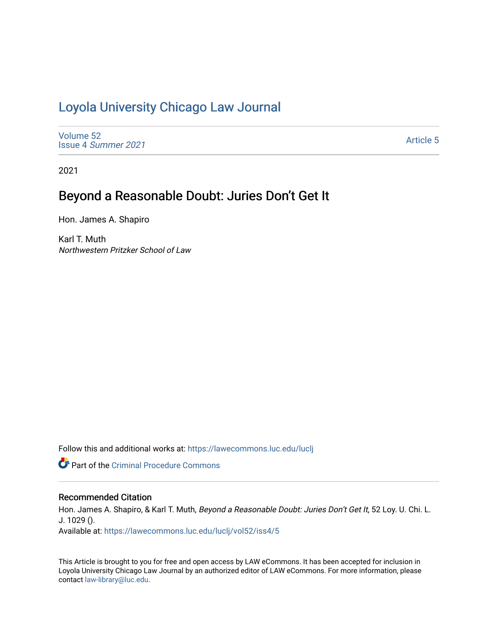# [Loyola University Chicago Law Journal](https://lawecommons.luc.edu/luclj)

[Volume 52](https://lawecommons.luc.edu/luclj/vol52) Issue 4 [Summer 2021](https://lawecommons.luc.edu/luclj/vol52/iss4) 

[Article 5](https://lawecommons.luc.edu/luclj/vol52/iss4/5) 

2021

# Beyond a Reasonable Doubt: Juries Don't Get It

Hon. James A. Shapiro

Karl T. Muth Northwestern Pritzker School of Law

Follow this and additional works at: [https://lawecommons.luc.edu/luclj](https://lawecommons.luc.edu/luclj?utm_source=lawecommons.luc.edu%2Fluclj%2Fvol52%2Fiss4%2F5&utm_medium=PDF&utm_campaign=PDFCoverPages) 

Part of the [Criminal Procedure Commons](http://network.bepress.com/hgg/discipline/1073?utm_source=lawecommons.luc.edu%2Fluclj%2Fvol52%2Fiss4%2F5&utm_medium=PDF&utm_campaign=PDFCoverPages) 

## Recommended Citation

Hon. James A. Shapiro, & Karl T. Muth, Beyond a Reasonable Doubt: Juries Don't Get It, 52 Loy. U. Chi. L. J. 1029 ().

Available at: [https://lawecommons.luc.edu/luclj/vol52/iss4/5](https://lawecommons.luc.edu/luclj/vol52/iss4/5?utm_source=lawecommons.luc.edu%2Fluclj%2Fvol52%2Fiss4%2F5&utm_medium=PDF&utm_campaign=PDFCoverPages) 

This Article is brought to you for free and open access by LAW eCommons. It has been accepted for inclusion in Loyola University Chicago Law Journal by an authorized editor of LAW eCommons. For more information, please contact [law-library@luc.edu.](mailto:law-library@luc.edu)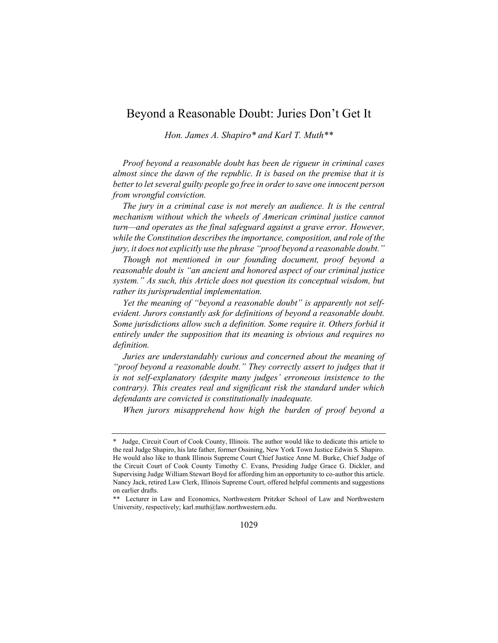# Beyond a Reasonable Doubt: Juries Don't Get It

*Hon. James A. Shapiro\* and Karl T. Muth\*\**

*Proof beyond a reasonable doubt has been de rigueur in criminal cases almost since the dawn of the republic. It is based on the premise that it is better to let several guilty people go free in order to save one innocent person from wrongful conviction.*

*The jury in a criminal case is not merely an audience. It is the central mechanism without which the wheels of American criminal justice cannot turn—and operates as the final safeguard against a grave error. However, while the Constitution describes the importance, composition, and role of the jury, it does not explicitly use the phrase "proof beyond a reasonable doubt."* 

*Though not mentioned in our founding document, proof beyond a reasonable doubt is "an ancient and honored aspect of our criminal justice system." As such, this Article does not question its conceptual wisdom, but rather its jurisprudential implementation.*

*Yet the meaning of "beyond a reasonable doubt" is apparently not selfevident. Jurors constantly ask for definitions of beyond a reasonable doubt. Some jurisdictions allow such a definition. Some require it. Others forbid it entirely under the supposition that its meaning is obvious and requires no definition.*

*Juries are understandably curious and concerned about the meaning of "proof beyond a reasonable doubt." They correctly assert to judges that it is not self-explanatory (despite many judges' erroneous insistence to the contrary). This creates real and significant risk the standard under which defendants are convicted is constitutionally inadequate.*

*When jurors misapprehend how high the burden of proof beyond a* 

Judge, Circuit Court of Cook County, Illinois. The author would like to dedicate this article to the real Judge Shapiro, his late father, former Ossining, New York Town Justice Edwin S. Shapiro. He would also like to thank Illinois Supreme Court Chief Justice Anne M. Burke, Chief Judge of the Circuit Court of Cook County Timothy C. Evans, Presiding Judge Grace G. Dickler, and Supervising Judge William Stewart Boyd for affording him an opportunity to co-author this article. Nancy Jack, retired Law Clerk, Illinois Supreme Court, offered helpful comments and suggestions on earlier drafts.

<sup>\*\*</sup> Lecturer in Law and Economics, Northwestern Pritzker School of Law and Northwestern University, respectively[; karl.muth@law.northwestern.edu.](mailto:karl.muth@law.northwestern.edu)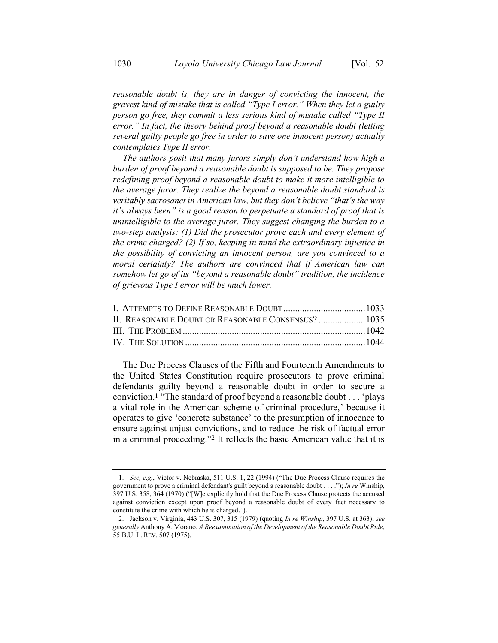reasonable doubt is, they are in danger of convicting the innocent, the *gravest kind of mistake that is called "Type I error." When they let a guilty person go free, they commit a less serious kind of mistake called "Type II error." In fact, the theory behind proof beyond a reasonable doubt (letting several guilty people go free in order to save one innocent person) actually contemplates Type II error.* 

*The authors posit that many jurors simply don't understand how high a burden of proof beyond a reasonable doubt is supposed to be. They propose redefining proof beyond a reasonable doubt to make it more intelligible to the average juror. They realize the beyond a reasonable doubt standard is veritably sacrosanct in American law, but they don't believe "that's the way it's always been" is a good reason to perpetuate a standard of proof that is unintelligible to the average juror. They suggest changing the burden to a two-step analysis: (1) Did the prosecutor prove each and every element of the crime charged? (2) If so, keeping in mind the extraordinary injustice in the possibility of convicting an innocent person, are you convinced to a moral certainty? The authors are convinced that if American law can somehow let go of its "beyond a reasonable doubt" tradition, the incidence of grievous Type I error will be much lower.*

| II. REASONABLE DOUBT OR REASONABLE CONSENSUS?  1035 |  |
|-----------------------------------------------------|--|
|                                                     |  |
|                                                     |  |
|                                                     |  |

The Due Process Clauses of the Fifth and Fourteenth Amendments to the United States Constitution require prosecutors to prove criminal defendants guilty beyond a reasonable doubt in order to secure a conviction.1 "The standard of proof beyond a reasonable doubt . . . 'plays a vital role in the American scheme of criminal procedure,' because it operates to give 'concrete substance' to the presumption of innocence to ensure against unjust convictions, and to reduce the risk of factual error in a criminal proceeding."2 It reflects the basic American value that it is

<sup>1.</sup> *See, e.g.*, Victor v. Nebraska, 511 U.S. 1, 22 (1994) ("The Due Process Clause requires the government to prove a criminal defendant's guilt beyond a reasonable doubt . . . ."); *In re* Winship, 397 U.S. 358, 364 (1970) ("[W]e explicitly hold that the Due Process Clause protects the accused against conviction except upon proof beyond a reasonable doubt of every fact necessary to constitute the crime with which he is charged.").

<sup>2.</sup> [Jackson v. Virginia,](http://web2.westlaw.com/find/default.wl?tf=-1&rs=WLW9.11&serialnum=1979135171&fn=_top&sv=Split&tc=-1&pbc=561105CB&ordoc=1999124155&findtype=Y&db=708&vr=2.0&rp=%2ffind%2fdefault.wl&mt=Westlaw) 443 U.S. 307, 315 (1979) (quoting *In re Winship*, 397 U.S. at 363); *see generally* Anthony A. Morano, *A Reexamination of the Development of the Reasonable Doubt Rule*, 55 B.U. L. REV. 507 (1975).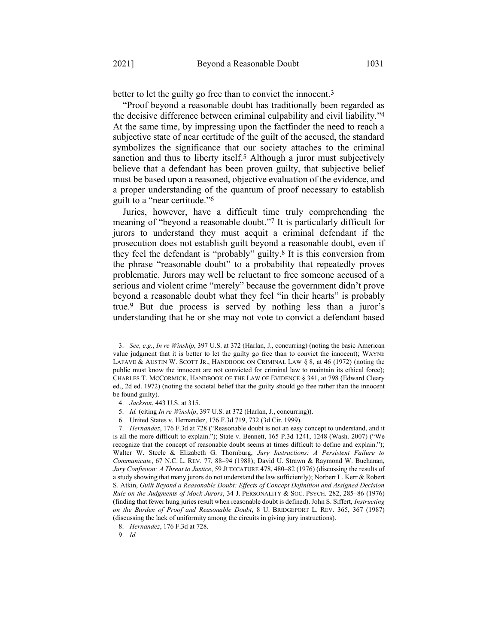better to let the guilty go free than to convict the innocent.<sup>3</sup>

"Proof beyond a reasonable doubt has traditionally been regarded as the decisive difference between criminal culpability and civil liability."4 At the same time, by impressing upon the factfinder the need to reach a subjective state of near certitude of the guilt of the accused, the standard symbolizes the significance that our society attaches to the criminal sanction and thus to liberty itself.<sup>5</sup> Although a juror must subjectively believe that a defendant has been proven guilty, that subjective belief must be based upon a reasoned, objective evaluation of the evidence, and a proper understanding of the quantum of proof necessary to establish guilt to a "near certitude."6

Juries, however, have a difficult time truly comprehending the meaning of "beyond a reasonable doubt."7 It is particularly difficult for jurors to understand they must acquit a criminal defendant if the prosecution does not establish guilt beyond a reasonable doubt, even if they feel the defendant is "probably" guilty.8 It is this conversion from the phrase "reasonable doubt" to a probability that repeatedly proves problematic. Jurors may well be reluctant to free someone accused of a serious and violent crime "merely" because the government didn't prove beyond a reasonable doubt what they feel "in their hearts" is probably true.9 But due process is served by nothing less than a juror's understanding that he or she may not vote to convict a defendant based

<sup>3.</sup> *[See, e.g.](http://web2.westlaw.com/find/default.wl?tf=-1&rs=WLW9.11&serialnum=1994068214&fn=_top&sv=Split&tc=-1&pbc=561105CB&ordoc=1999124155&findtype=Y&db=708&vr=2.0&rp=%2ffind%2fdefault.wl&mt=Westlaw)*, *In re Winship*, 397 U.S. at 372 (Harlan, J., concurring) (noting the basic American value judgment that it is better to let the guilty go free than to convict the innocent); WAYNE LAFAVE & AUSTIN W. SCOTT JR., HANDBOOK ON CRIMINAL LAW  $\S$  8, at 46 (1972) (noting the public must know the innocent are not convicted for criminal law to maintain its ethical force); C[HARLES](http://web2.westlaw.com/find/default.wl?tf=-1&rs=WLW10.05&serialnum=0280312834&fn=_top&sv=Split&tc=-1&pbc=2B41B7A5&ordoc=0101249939&findtype=Y&db=0134642&vr=2.0&rp=%2ffind%2fdefault.wl&mt=Westlaw) T. MCCORMICK, H[ANDBOOK OF THE](http://web2.westlaw.com/find/default.wl?tf=-1&rs=WLW10.05&serialnum=0280312834&fn=_top&sv=Split&tc=-1&pbc=2B41B7A5&ordoc=0101249939&findtype=Y&db=0134642&vr=2.0&rp=%2ffind%2fdefault.wl&mt=Westlaw) LAW OF EVIDENCE § 341, at 798 (Edward Cleary ed., 2d ed. 1972) (noting the societal belief that the guilty should go free rather than the innocent be found guilty).

<sup>4.</sup> *[Jackson](http://web2.westlaw.com/find/default.wl?tf=-1&rs=WLW9.11&serialnum=1979135171&fn=_top&sv=Split&tc=-1&pbc=561105CB&ordoc=1999124155&findtype=Y&db=708&vr=2.0&rp=%2ffind%2fdefault.wl&mt=Westlaw)*, [443 U.S. at 315.](http://web2.westlaw.com/find/default.wl?tf=-1&rs=WLW9.11&serialnum=1979135171&fn=_top&sv=Split&tc=-1&pbc=561105CB&ordoc=1999124155&findtype=Y&db=708&vr=2.0&rp=%2ffind%2fdefault.wl&mt=Westlaw)

<sup>5.</sup> *[Id.](http://web2.westlaw.com/find/default.wl?tf=-1&rs=WLW9.11&serialnum=1979135171&fn=_top&sv=Split&tc=-1&pbc=561105CB&ordoc=1999124155&findtype=Y&db=708&vr=2.0&rp=%2ffind%2fdefault.wl&mt=Westlaw)* (citing *In re Winship*, 397 U.S. at 372 (Harlan, J., concurring)).

<sup>6.</sup> United States v. Hernandez, 176 F.3d 719, 732 (3d Cir. 1999).

<sup>7.</sup> *Hernandez*, 176 F.3d at 728 ("Reasonable doubt is not an easy concept to understand, and it is all the more difficult to explain."); State v. Bennett, 165 P.3d 1241, 1248 (Wash. 2007) ("We recognize that the concept of reasonable doubt seems at times difficult to define and explain."); Walter W. Steele & Elizabeth G. Thornburg, *[Jury Instructions: A Persistent Failure to](http://web2.westlaw.com/find/default.wl?tf=-1&rs=WLW9.11&referencepositiontype=S&serialnum=0101760018&fn=_top&sv=Split&referenceposition=88&pbc=B4A801C7&tc=-1&ordoc=1995138840&findtype=Y&db=1199&vr=2.0&rp=%2ffind%2fdefault.wl&mt=Westlaw)  [Communicate](http://web2.westlaw.com/find/default.wl?tf=-1&rs=WLW9.11&referencepositiontype=S&serialnum=0101760018&fn=_top&sv=Split&referenceposition=88&pbc=B4A801C7&tc=-1&ordoc=1995138840&findtype=Y&db=1199&vr=2.0&rp=%2ffind%2fdefault.wl&mt=Westlaw)*, [67 N.C.](http://web2.westlaw.com/find/default.wl?tf=-1&rs=WLW9.11&referencepositiontype=S&serialnum=0101760018&fn=_top&sv=Split&referenceposition=88&pbc=B4A801C7&tc=-1&ordoc=1995138840&findtype=Y&db=1199&vr=2.0&rp=%2ffind%2fdefault.wl&mt=Westlaw) L. REV. 77, 88–[94 \(1988\);](http://web2.westlaw.com/find/default.wl?tf=-1&rs=WLW9.11&referencepositiontype=S&serialnum=0101760018&fn=_top&sv=Split&referenceposition=88&pbc=B4A801C7&tc=-1&ordoc=1995138840&findtype=Y&db=1199&vr=2.0&rp=%2ffind%2fdefault.wl&mt=Westlaw) David U. Strawn & Raymond W. Buchanan, *Jury Confusion: A Threat to Justice*, 59 JUDICATURE 478, 480–82 (1976) (discussing the results of a study showing that many jurors do not understand the law sufficiently); Norbert L. Kerr & Robert S. Atkin, *Guilt Beyond a Reasonable Doubt: Effects of Concept Definition and Assigned Decision Rule on the Judgments of Mock Jurors*, 34 J. PERSONALITY & SOC. PSYCH. 282, 285–86 (1976) (finding that fewer hung juries result when reasonable doubt is defined). John S. Siffert, *Instructing on the Burden of Proof and Reasonable Doubt*, 8 U. BRIDGEPORT L. REV. 365, 367 (1987) (discussing the lack of uniformity among the circuits in giving jury instructions).

<sup>8.</sup> *Hernandez*, 176 F.3d at 728.

<sup>9.</sup> *Id.*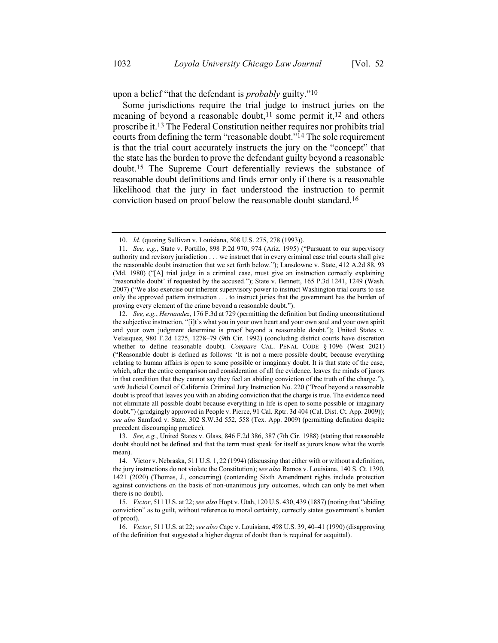upon a belief "that the defendant is *probably* guilty."10

Some jurisdictions require the trial judge to instruct juries on the meaning of beyond a reasonable doubt,<sup>11</sup> some permit it,<sup>12</sup> and others proscribe it.13 The Federal Constitution neither requires nor prohibits trial courts from defining the term "reasonable doubt."14 The sole requirement is that the trial court accurately instructs the jury on the "concept" that the state has the burden to prove the defendant guilty beyond a reasonable doubt.15 The Supreme Court deferentially reviews the substance of reasonable doubt definitions and finds error only if there is a reasonable likelihood that the jury in fact understood the instruction to permit conviction based on proof below the reasonable doubt standard.16

<sup>10.</sup> *Id.* (quoting [Sullivan v. Louisiana,](http://web2.westlaw.com/find/default.wl?tf=-1&rs=WLW9.11&serialnum=1993113763&fn=_top&sv=Split&tc=-1&pbc=561105CB&ordoc=1999124155&findtype=Y&db=708&vr=2.0&rp=%2ffind%2fdefault.wl&mt=Westlaw) [508 U.S. 275, 278 \(1993\)\)](http://web2.westlaw.com/find/default.wl?tf=-1&rs=WLW9.11&serialnum=1993113763&fn=_top&sv=Split&tc=-1&pbc=561105CB&ordoc=1999124155&findtype=Y&db=708&vr=2.0&rp=%2ffind%2fdefault.wl&mt=Westlaw).

<sup>11.</sup> *See, e.g.*, State v. Portillo, 898 P.2d 970, 974 (Ariz. 1995) ("Pursuant to our supervisory authority and revisory jurisdiction . . . we instruct that in every criminal case trial courts shall give the reasonable doubt instruction that we set forth below.")[; Lansdowne v. State,](http://web2.westlaw.com/find/default.wl?tf=-1&rs=WLW9.11&referencepositiontype=S&serialnum=1980301823&fn=_top&sv=Split&referenceposition=93&pbc=B4A801C7&tc=-1&ordoc=1995138840&findtype=Y&db=162&vr=2.0&rp=%2ffind%2fdefault.wl&mt=Westlaw) [412 A.2d 88, 93](http://web2.westlaw.com/find/default.wl?tf=-1&rs=WLW9.11&referencepositiontype=S&serialnum=1980301823&fn=_top&sv=Split&referenceposition=93&pbc=B4A801C7&tc=-1&ordoc=1995138840&findtype=Y&db=162&vr=2.0&rp=%2ffind%2fdefault.wl&mt=Westlaw)  (Md. [1980\)](http://web2.westlaw.com/find/default.wl?tf=-1&rs=WLW9.11&referencepositiontype=S&serialnum=1980301823&fn=_top&sv=Split&referenceposition=93&pbc=B4A801C7&tc=-1&ordoc=1995138840&findtype=Y&db=162&vr=2.0&rp=%2ffind%2fdefault.wl&mt=Westlaw) ("[A] trial judge in a criminal case, must give an instruction correctly explaining 'reasonable doubt' if requested by the accused."); State v. Bennett, 165 P.3d 1241, 1249 (Wash. 2007) ("We also exercise our inherent supervisory power to instruct Washington trial courts to use only the approved pattern instruction . . . to instruct juries that the government has the burden of proving every element of the crime beyond a reasonable doubt.").

<sup>12.</sup> *See, e.g.*, *Hernandez*, 176 F.3d at 729 (permitting the definition but finding unconstitutional the subjective instruction, "[i]t's what you in your own heart and your own soul and your own spirit and your own judgment determine is proof beyond a reasonable doubt."); United States v. Velasquez, 980 F.2d 1275, 1278–79 (9th Cir. 1992) (concluding district courts have discretion whether to define reasonable doubt). *Compare* CAL. PENAL CODE § 1096 (West 2021) ("Reasonable doubt is defined as follows: 'It is not a mere possible doubt; because everything relating to human affairs is open to some possible or imaginary doubt. It is that state of the case, which, after the entire comparison and consideration of all the evidence, leaves the minds of jurors in that condition that they cannot say they feel an abiding conviction of the truth of the charge."), *with* Judicial Council of California Criminal Jury Instruction No. 220 ("Proof beyond a reasonable doubt is proof that leaves you with an abiding conviction that the charge is true. The evidence need not eliminate all possible doubt because everything in life is open to some possible or imaginary doubt.") (grudgingly approved in People v. Pierce, 91 Cal. Rptr. 3d 404 (Cal. Dist. Ct. App. 2009)); *see also* Samford v. State, 302 S.W.3d 552, 558 (Tex. App. 2009) (permitting definition despite precedent discouraging practice).

<sup>13.</sup> *See, e.g.*[, United States v. Glass,](http://web2.westlaw.com/find/default.wl?tf=-1&rs=WLW9.11&referencepositiontype=S&serialnum=1988066720&fn=_top&sv=Split&referenceposition=387&pbc=B4A801C7&tc=-1&ordoc=1995138840&findtype=Y&db=350&vr=2.0&rp=%2ffind%2fdefault.wl&mt=Westlaw) [846 F.2d 386, 387 \(7th Cir.](http://web2.westlaw.com/find/default.wl?tf=-1&rs=WLW9.11&referencepositiontype=S&serialnum=1988066720&fn=_top&sv=Split&referenceposition=387&pbc=B4A801C7&tc=-1&ordoc=1995138840&findtype=Y&db=350&vr=2.0&rp=%2ffind%2fdefault.wl&mt=Westlaw) 1988) (stating that reasonable doubt should not be defined and that the term must speak for itself as jurors know what the words mean).

<sup>14.</sup> Victor v. Nebraska, 511 U.S. 1, 22 (1994) (discussing that either with or without a definition, the jury instructions do not violate the Constitution); s*ee also* Ramos v. Louisiana, 140 S. Ct. 1390, 1421 (2020) (Thomas, J., concurring) (contending Sixth Amendment rights include protection against convictions on the basis of non-unanimous jury outcomes, which can only be met when there is no doubt).

<sup>15.</sup> *Victor*, 511 U.S. at 22; *see also* Hopt v. Utah, 120 U.S. 430, 439 (1887) (noting that "abiding conviction" as to guilt, without reference to moral certainty, correctly states government's burden of proof).

<sup>16.</sup> *Victor*, 511 U.S. at 22; *see also* Cage v. [Louisiana,](http://web2.westlaw.com/find/default.wl?tf=-1&rs=WLW9.11&referencepositiontype=S&serialnum=1990076535&fn=_top&sv=Split&referenceposition=329&pbc=B4A801C7&tc=-1&ordoc=1995138840&findtype=Y&db=708&vr=2.0&rp=%2ffind%2fdefault.wl&mt=Westlaw) [498 U.S. 39, 40](http://web2.westlaw.com/find/default.wl?tf=-1&rs=WLW9.11&referencepositiontype=S&serialnum=1990076535&fn=_top&sv=Split&referenceposition=329&pbc=B4A801C7&tc=-1&ordoc=1995138840&findtype=Y&db=708&vr=2.0&rp=%2ffind%2fdefault.wl&mt=Westlaw)–41 (1990) (disapproving of the definition that suggested a higher degree of doubt than is required for acquittal).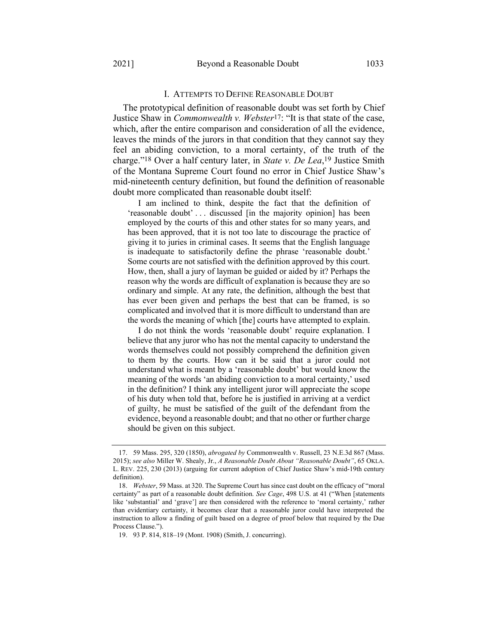#### I. ATTEMPTS TO DEFINE REASONABLE DOUBT

The prototypical definition of reasonable doubt was set forth by Chief Justice Shaw in *[Commonwealth v. Webster](http://web2.westlaw.com/find/default.wl?tf=-1&rs=WLW9.11&serialnum=1850004605&fn=_top&sv=Split&tc=-1&pbc=9C0B0BEC&ordoc=2018424011&findtype=Y&db=521&vr=2.0&rp=%2ffind%2fdefault.wl&mt=Westlaw)*17[:](http://web2.westlaw.com/find/default.wl?tf=-1&rs=WLW9.11&serialnum=1850004605&fn=_top&sv=Split&tc=-1&pbc=9C0B0BEC&ordoc=2018424011&findtype=Y&db=521&vr=2.0&rp=%2ffind%2fdefault.wl&mt=Westlaw) "It is that state of the case, which, after the entire comparison and consideration of all the evidence, leaves the minds of the jurors in that condition that they cannot say they feel an abiding conviction, to a moral certainty, of the truth of the charge."18 Over a half century later, in *[State v. De Lea](http://web2.westlaw.com/find/default.wl?tf=-1&rs=WLW9.11&serialnum=1908016302&fn=_top&sv=Split&tc=-1&pbc=9C0B0BEC&ordoc=2018424011&findtype=Y&db=660&vr=2.0&rp=%2ffind%2fdefault.wl&mt=Westlaw)*[,](http://web2.westlaw.com/find/default.wl?tf=-1&rs=WLW9.11&serialnum=1908016302&fn=_top&sv=Split&tc=-1&pbc=9C0B0BEC&ordoc=2018424011&findtype=Y&db=660&vr=2.0&rp=%2ffind%2fdefault.wl&mt=Westlaw) 19 [J](http://web2.westlaw.com/find/default.wl?tf=-1&rs=WLW9.11&serialnum=1908016302&fn=_top&sv=Split&tc=-1&pbc=9C0B0BEC&ordoc=2018424011&findtype=Y&db=660&vr=2.0&rp=%2ffind%2fdefault.wl&mt=Westlaw)ustice Smith of the Montana Supreme Court found no error in Chief Justice Shaw's mid-nineteenth century definition, but found the definition of reasonable doubt more complicated than reasonable doubt itself:

I am inclined to think, despite the fact that the definition of 'reasonable doubt' . . . discussed [in the majority opinion] has been employed by the courts of this and other states for so many years, and has been approved, that it is not too late to discourage the practice of giving it to juries in criminal cases. It seems that the English language is inadequate to satisfactorily define the phrase 'reasonable doubt.' Some courts are not satisfied with the definition approved by this court. How, then, shall a jury of layman be guided or aided by it? Perhaps the reason why the words are difficult of explanation is because they are so ordinary and simple. At any rate, the definition, although the best that has ever been given and perhaps the best that can be framed, is so complicated and involved that it is more difficult to understand than are the words the meaning of which [the] courts have attempted to explain.

I do not think the words 'reasonable doubt' require explanation. I believe that any juror who has not the mental capacity to understand the words themselves could not possibly comprehend the definition given to them by the courts. How can it be said that a juror could not understand what is meant by a 'reasonable doubt' but would know the meaning of the words 'an abiding conviction to a moral certainty,' used in the definition? I think any intelligent juror will appreciate the scope of his duty when told that, before he is justified in arriving at a verdict of guilty, he must be satisfied of the guilt of the defendant from the evidence, beyond a reasonable doubt; and that no other or further charge should be given on this subject.

<sup>17.</sup> 59 Mass. 295, 320 (1850), *abrogated by* Commonwealth v. Russell, 23 N.E.3d 867 (Mass. 2015); *see also* Miller W. Shealy, Jr., *A Reasonable Doubt About "Reasonable Doubt"*, 65 OKLA. L. REV. 225, 230 (2013) (arguing for current adoption of Chief Justice Shaw's mid-19th century definition).

<sup>18.</sup> *Webster*, 59 Mass. at 320. The Supreme Court has since cast doubt on the efficacy of "moral certainty" as part of a reasonable doubt definition. *See Cage*, 498 U.S. at 41 ("When [statements like 'substantial' and 'grave'] are then considered with the reference to 'moral certainty,' rather than evidentiary certainty, it becomes clear that a reasonable juror could have interpreted the instruction to allow a finding of guilt based on a degree of proof below that required by the Due Process Clause.").

<sup>19.</sup> 93 P. 814, 818–19 (Mont. 1908) (Smith, J. concurring).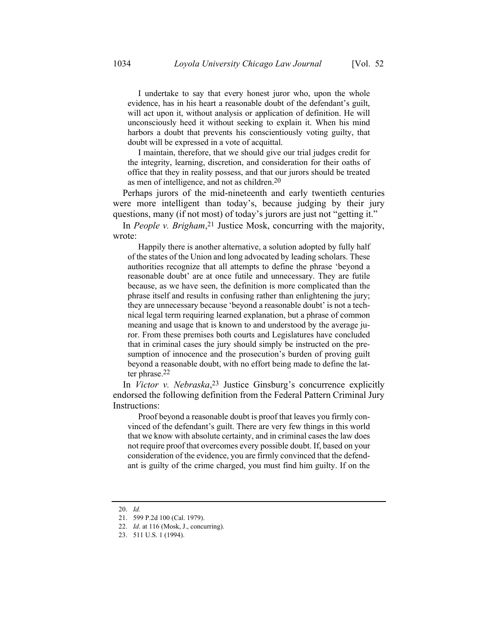I undertake to say that every honest juror who, upon the whole evidence, has in his heart a reasonable doubt of the defendant's guilt, will act upon it, without analysis or application of definition. He will unconsciously heed it without seeking to explain it. When his mind harbors a doubt that prevents his conscientiously voting guilty, that doubt will be expressed in a vote of acquittal.

I maintain, therefore, that we should give our trial judges credit for the integrity, learning, discretion, and consideration for their oaths of office that they in reality possess, and that our jurors should be treated as men of intelligence, and not as children.20

Perhaps jurors of the mid-nineteenth and early twentieth centuries were more intelligent than today's, because judging by their jury questions, many (if not most) of today's jurors are just not "getting it."

In *People v. Brigham*, 21 Justice Mosk, concurring with the majority, wrote:

Happily there is another alternative, a solution adopted by fully half of the states of the Union and long advocated by leading scholars. These authorities recognize that all attempts to define the phrase 'beyond a reasonable doubt' are at once futile and unnecessary. They are futile because, as we have seen, the definition is more complicated than the phrase itself and results in confusing rather than enlightening the jury; they are unnecessary because 'beyond a reasonable doubt' is not a technical legal term requiring learned explanation, but a phrase of common meaning and usage that is known to and understood by the average juror. From these premises both courts and Legislatures have concluded that in criminal cases the jury should simply be instructed on the presumption of innocence and the prosecution's burden of proving guilt beyond a reasonable doubt, with no effort being made to define the latter phrase.22

In *Victor v. Nebraska*, 23 Justice Ginsburg's concurrence explicitly endorsed the following definition from the Federal Pattern Criminal Jury Instructions:

Proof beyond a reasonable doubt is proof that leaves you firmly convinced of the defendant's guilt. There are very few things in this world that we know with absolute certainty, and in criminal cases the law does not require proof that overcomes every possible doubt. If, based on your consideration of the evidence, you are firmly convinced that the defendant is guilty of the crime charged, you must find him guilty. If on the

<sup>20.</sup> *Id.*

<sup>21.</sup> 599 P.2d 100 (Cal. 1979).

<sup>22.</sup> *Id*. at 116 (Mosk, J., concurring).

<sup>23.</sup> [511 U.S. 1 \(1994\).](http://web2.westlaw.com/find/default.wl?tf=-1&rs=WLW9.11&serialnum=1994068214&fn=_top&sv=Split&tc=-1&pbc=561105CB&ordoc=1999124155&findtype=Y&db=708&vr=2.0&rp=%2ffind%2fdefault.wl&mt=Westlaw)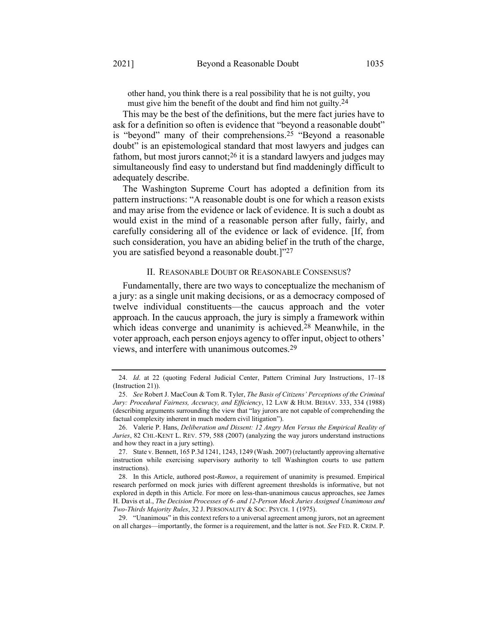other hand, you think there is a real possibility that he is not guilty, you must give him the benefit of the doubt and find him not guilty.<sup>24</sup>

This may be the best of the definitions, but the mere fact juries have to ask for a definition so often is evidence that "beyond a reasonable doubt" is "beyond" many of their comprehensions.25 "Beyond a reasonable doubt" is an epistemological standard that most lawyers and judges can fathom, but most jurors cannot;  $26$  it is a standard lawyers and judges may simultaneously find easy to understand but find maddeningly difficult to adequately describe.

The Washington Supreme Court has adopted a definition from its pattern instructions: "A reasonable doubt is one for which a reason exists and may arise from the evidence or lack of evidence. It is such a doubt as would exist in the mind of a reasonable person after fully, fairly, and carefully considering all of the evidence or lack of evidence. [If, from such consideration, you have an abiding belief in the truth of the charge, you are satisfied beyond a reasonable doubt.]"27

#### II. REASONABLE DOUBT OR REASONABLE CONSENSUS?

Fundamentally, there are two ways to conceptualize the mechanism of a jury: as a single unit making decisions, or as a democracy composed of twelve individual constituents—the caucus approach and the voter approach. In the caucus approach, the jury is simply a framework within which ideas converge and unanimity is achieved.<sup>28</sup> Meanwhile, in the voter approach, each person enjoys agency to offer input, object to others' views, and interfere with unanimous outcomes.29

29. "Unanimous" in this context refers to a universal agreement among jurors, not an agreement on all charges—importantly, the former is a requirement, and the latter is not. *See* FED. R. CRIM. P.

<sup>24.</sup> *Id*. at 22 (quoting Federal Judicial Center, Pattern Criminal Jury Instructions, 17–18 (Instruction 21)).

<sup>25.</sup> *See* Robert J. MacCoun & Tom R. Tyler, *The Basis of Citizens' Perceptions of the Criminal Jury: Procedural Fairness, Accuracy, and Efficiency*, 12 LAW & HUM. BEHAV. 333, 334 (1988) (describing arguments surrounding the view that "lay jurors are not capable of comprehending the factual complexity inherent in much modern civil litigation").

<sup>26.</sup> Valerie P. Hans, *Deliberation and Dissent: 12 Angry Men Versus the Empirical Reality of Juries*, 82 CHI.-KENT L. REV. 579, 588 (2007) (analyzing the way jurors understand instructions and how they react in a jury setting).

<sup>27.</sup> State v. Bennett, 165 P.3d 1241, 1243, 1249 (Wash. 2007) (reluctantly approving alternative instruction while exercising supervisory authority to tell Washington courts to use pattern instructions).

<sup>28.</sup> In this Article, authored post-*Ramos*, a requirement of unanimity is presumed. Empirical research performed on mock juries with different agreement thresholds is informative, but not explored in depth in this Article. For more on less-than-unanimous caucus approaches, see James H. Davis et al., *The Decision Processes of 6- and 12-Person Mock Juries Assigned Unanimous and Two-Thirds Majority Rules*, 32 J. PERSONALITY & SOC. PSYCH. 1 (1975).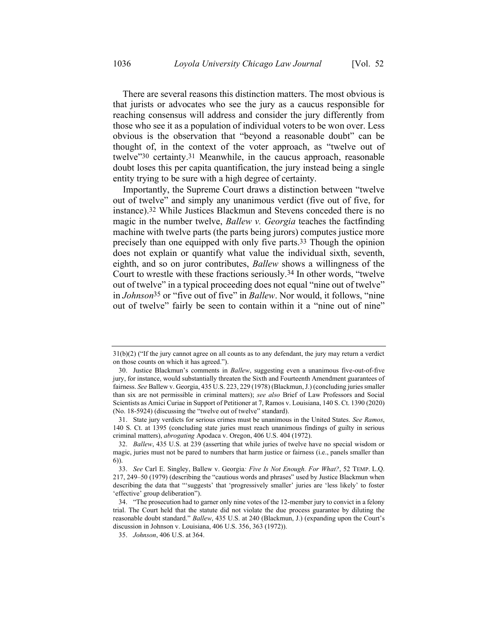There are several reasons this distinction matters. The most obvious is that jurists or advocates who see the jury as a caucus responsible for reaching consensus will address and consider the jury differently from those who see it as a population of individual voters to be won over. Less obvious is the observation that "beyond a reasonable doubt" can be thought of, in the context of the voter approach, as "twelve out of twelve"30 certainty. 31 Meanwhile, in the caucus approach, reasonable doubt loses this per capita quantification, the jury instead being a single entity trying to be sure with a high degree of certainty.

Importantly, the Supreme Court draws a distinction between "twelve out of twelve" and simply any unanimous verdict (five out of five, for instance).32 While Justices Blackmun and Stevens conceded there is no magic in the number twelve, *Ballew v. Georgia* teaches the factfinding machine with twelve parts (the parts being jurors) computes justice more precisely than one equipped with only five parts. 33 Though the opinion does not explain or quantify what value the individual sixth, seventh, eighth, and so on juror contributes, *Ballew* shows a willingness of the Court to wrestle with these fractions seriously.34 In other words, "twelve out of twelve" in a typical proceeding does not equal "nine out of twelve" in *Johnson*35 or "five out of five" in *Ballew*. Nor would, it follows, "nine out of twelve" fairly be seen to contain within it a "nine out of nine"

<sup>31</sup>(b)(2) ("If the jury cannot agree on all counts as to any defendant, the jury may return a verdict on those counts on which it has agreed.").

<sup>30.</sup> Justice Blackmun's comments in *Ballew*, suggesting even a unanimous five-out-of-five jury, for instance, would substantially threaten the Sixth and Fourteenth Amendment guarantees of fairness. *See* Ballew v. Georgia, 435 U.S. 223, 229 (1978) (Blackmun, J.) (concluding juries smaller than six are not permissible in criminal matters); *see also* Brief of Law Professors and Social Scientists as Amici Curiae in Support of Petitioner at 7, Ramos v. Louisiana, 140 S. Ct. 1390 (2020) (No. 18-5924) (discussing the "twelve out of twelve" standard).

<sup>31.</sup> State jury verdicts for serious crimes must be unanimous in the United States. *See Ramos*, 140 S. Ct. at 1395 (concluding state juries must reach unanimous findings of guilty in serious criminal matters), *abrogating* Apodaca v. Oregon, 406 U.S. 404 (1972).

<sup>32.</sup> *Ballew*, 435 U.S. at 239 (asserting that while juries of twelve have no special wisdom or magic, juries must not be pared to numbers that harm justice or fairness (i.e., panels smaller than 6)).

<sup>33.</sup> *See* Carl E. Singley, Ballew v. Georgia*: Five Is Not Enough. For What?*, 52 TEMP. L.Q. 217, 249–50 (1979) (describing the "cautious words and phrases" used by Justice Blackmun when describing the data that "'suggests' that 'progressively smaller' juries are 'less likely' to foster 'effective' group deliberation").

<sup>34.</sup> "The prosecution had to garner only nine votes of the 12-member jury to convict in a felony trial. The Court held that the statute did not violate the due process guarantee by diluting the reasonable doubt standard." *Ballew*, 435 U.S. at 240 (Blackmun, J.) (expanding upon the Court's discussion in Johnson v. Louisiana, 406 U.S. 356, 363 (1972)).

<sup>35.</sup> *Johnson*, 406 U.S. at 364.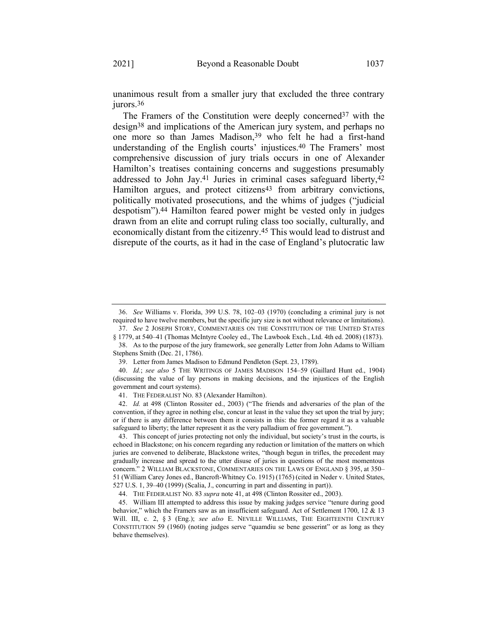unanimous result from a smaller jury that excluded the three contrary jurors.<sup>36</sup>

<span id="page-9-0"></span>The Framers of the Constitution were deeply concerned<sup>37</sup> with the design38 and implications of the American jury system, and perhaps no one more so than James Madison,<sup>39</sup> who felt he had a first-hand understanding of the English courts' injustices.40 The Framers' most comprehensive discussion of jury trials occurs in one of Alexander Hamilton's treatises containing concerns and suggestions presumably addressed to John Jay.41 Juries in criminal cases safeguard liberty,42 Hamilton argues, and protect citizens<sup>43</sup> from arbitrary convictions, politically motivated prosecutions, and the whims of judges ("judicial despotism").44 Hamilton feared power might be vested only in judges drawn from an elite and corrupt ruling class too socially, culturally, and economically distant from the citizenry.45 This would lead to distrust and disrepute of the courts, as it had in the case of England's plutocratic law

<sup>36.</sup> *See* Williams v. Florida, 399 U.S. 78, 102–03 (1970) (concluding a criminal jury is not required to have twelve members, but the specific jury size is not without relevance or limitations).

<sup>37.</sup> *See* 2 JOSEPH STORY, COMMENTARIES ON THE CONSTITUTION OF THE UNITED STATES § 1779, at 540–41 (Thomas McIntyre Cooley ed., The Lawbook Exch., Ltd. 4th ed. 2008) (1873). 38. As to the purpose of the jury framework, see generally Letter from John Adams to William

Stephens Smith (Dec. 21, 1786).

<sup>39.</sup> Letter from James Madison to Edmund Pendleton (Sept. 23, 1789).

<sup>40.</sup> *Id.*; *see also* 5 THE WRITINGS OF JAMES MADISON 154–59 (Gaillard Hunt ed., 1904) (discussing the value of lay persons in making decisions, and the injustices of the English government and court systems).

<sup>41.</sup> THE FEDERALIST NO. 83 (Alexander Hamilton).

<sup>42.</sup> *Id.* at 498 (Clinton Rossiter ed., 2003) ("The friends and adversaries of the plan of the convention, if they agree in nothing else, concur at least in the value they set upon the trial by jury; or if there is any difference between them it consists in this: the former regard it as a valuable safeguard to liberty; the latter represent it as the very palladium of free government.").

<sup>43.</sup> This concept of juries protecting not only the individual, but society's trust in the courts, is echoed in Blackstone; on his concern regarding any reduction or limitation of the matters on which juries are convened to deliberate, Blackstone writes, "though begun in trifles, the precedent may gradually increase and spread to the utter disuse of juries in questions of the most momentous concern." 2 WILLIAM BLACKSTONE, COMMENTARIES ON THE LAWS OF ENGLAND § 395, at 350– 51 (William Carey Jones ed., Bancroft-Whitney Co. 1915) (1765) (cited in Neder v. United States, 527 U.S. 1, 39–40 (1999) (Scalia, J., concurring in part and dissenting in part)).

<sup>44.</sup> THE FEDERALIST NO. 83 *supra* note [41,](#page-9-0) at 498 (Clinton Rossiter ed., 2003).

<sup>45.</sup> William III attempted to address this issue by making judges service "tenure during good behavior," which the Framers saw as an insufficient safeguard. Act of Settlement 1700, 12 & 13 Will. III, c. 2, § 3 (Eng.); *see also* E. NEVILLE WILLIAMS, THE EIGHTEENTH CENTURY CONSTITUTION 59 (1960) (noting judges serve "quamdiu se bene gesserint" or as long as they behave themselves).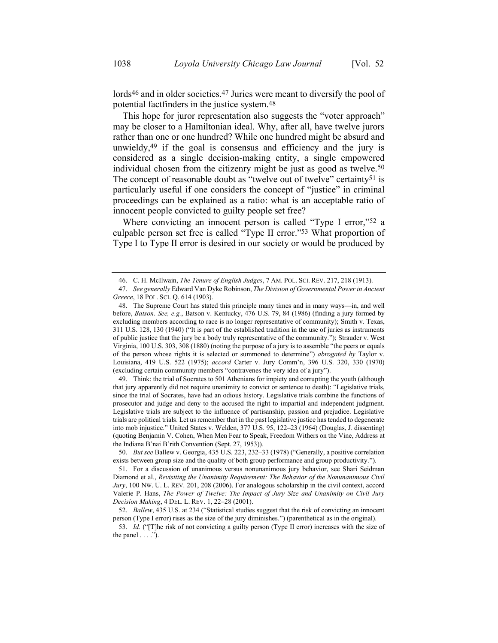lords<sup>46</sup> and in older societies.<sup>47</sup> Juries were meant to diversify the pool of potential factfinders in the justice system.48

This hope for juror representation also suggests the "voter approach" may be closer to a Hamiltonian ideal. Why, after all, have twelve jurors rather than one or one hundred? While one hundred might be absurd and unwieldy,49 if the goal is consensus and efficiency and the jury is considered as a single decision-making entity, a single empowered individual chosen from the citizenry might be just as good as twelve.<sup>50</sup> The concept of reasonable doubt as "twelve out of twelve" certainty<sup>51</sup> is particularly useful if one considers the concept of "justice" in criminal proceedings can be explained as a ratio: what is an acceptable ratio of innocent people convicted to guilty people set free?

Where convicting an innocent person is called "Type I error,"<sup>52</sup> a culpable person set free is called "Type II error."53 What proportion of Type I to Type II error is desired in our society or would be produced by

49. Think: the trial of Socrates to 501 Athenians for impiety and corrupting the youth (although that jury apparently did not require unanimity to convict or sentence to death): "Legislative trials, since the trial of Socrates, have had an odious history. Legislative trials combine the functions of prosecutor and judge and deny to the accused the right to impartial and independent judgment. Legislative trials are subject to the influence of partisanship, passion and prejudice. Legislative trials are political trials. Let us remember that in the past legislative justice has tended to degenerate into mob injustice." United States v. Welden, 377 U.S. 95, 122–23 (1964) (Douglas, J. dissenting) (quoting Benjamin V. Cohen, When Men Fear to Speak, Freedom Withers on the Vine, Address at the Indiana B'nai B'rith Convention (Sept. 27, 1953)).

<sup>46.</sup> C. H. McIlwain, *The Tenure of English Judges*, 7 AM. POL. SCI. REV. 217, 218 (1913).

<sup>47.</sup> *See generally* Edward Van Dyke Robinson, *The Division of Governmental Power in Ancient Greece*, 18 POL. SCI. Q. 614 (1903).

<sup>48.</sup> The Supreme Court has stated this principle many times and in many ways—in, and well before, *Batson*. *See, e.g.*, Batson v. Kentucky, 476 U.S. 79, 84 (1986) (finding a jury formed by excluding members according to race is no longer representative of community); Smith v. Texas, 311 U.S. 128, 130 (1940) ("It is part of the established tradition in the use of juries as instruments of public justice that the jury be a body truly representative of the community."); Strauder v. West Virginia, 100 U.S. 303, 308 (1880) (noting the purpose of a jury is to assemble "the peers or equals of the person whose rights it is selected or summoned to determine") *abrogated by* Taylor v. Louisiana, 419 U.S. 522 (1975); *accord* Carter v. Jury Comm'n, 396 U.S. 320, 330 (1970) (excluding certain community members "contravenes the very idea of a jury").

<sup>50.</sup> *But see* Ballew v. Georgia, 435 U.S. 223, 232–33 (1978) ("Generally, a positive correlation exists between group size and the quality of both group performance and group productivity.").

<sup>51.</sup> For a discussion of unanimous versus nonunanimous jury behavior, see Shari Seidman Diamond et al., *Revisiting the Unanimity Requirement: The Behavior of the Nonunanimous Civil Jury*, 100 NW. U. L. REV. 201, 208 (2006). For analogous scholarship in the civil context, accord Valerie P. Hans, *The Power of Twelve: The Impact of Jury Size and Unanimity on Civil Jury Decision Making*, 4 DEL. L. REV. 1, 22–28 (2001).

<sup>52.</sup> *Ballew*, 435 U.S. at 234 ("Statistical studies suggest that the risk of convicting an innocent person (Type I error) rises as the size of the jury diminishes.") (parenthetical as in the original).

<sup>53.</sup> *Id.* ("[T]he risk of not convicting a guilty person (Type II error) increases with the size of the panel  $\dots$ .").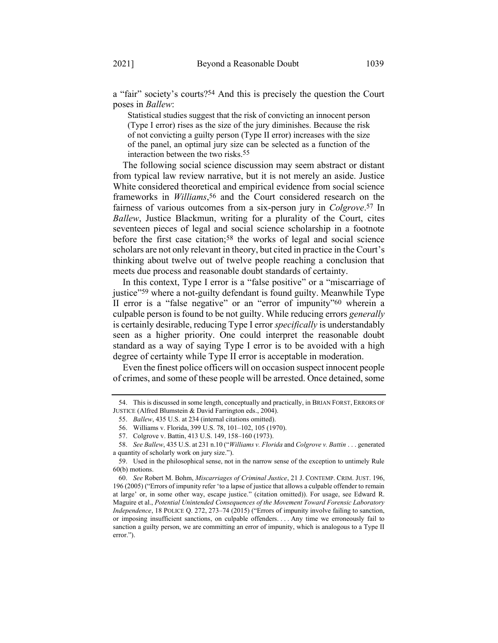a "fair" society's courts?54 And this is precisely the question the Court poses in *Ballew*:

Statistical studies suggest that the risk of convicting an innocent person (Type I error) rises as the size of the jury diminishes. Because the risk of not convicting a guilty person (Type II error) increases with the size of the panel, an optimal jury size can be selected as a function of the interaction between the two risks.55

The following social science discussion may seem abstract or distant from typical law review narrative, but it is not merely an aside. Justice White considered theoretical and empirical evidence from social science frameworks in *Williams*, 56 and the Court considered research on the fairness of various outcomes from a six-person jury in *Colgrove*. 57 In *Ballew*, Justice Blackmun, writing for a plurality of the Court, cites seventeen pieces of legal and social science scholarship in a footnote before the first case citation;<sup>58</sup> the works of legal and social science scholars are not only relevant in theory, but cited in practice in the Court's thinking about twelve out of twelve people reaching a conclusion that meets due process and reasonable doubt standards of certainty.

In this context, Type I error is a "false positive" or a "miscarriage of justice"<sup>59</sup> where a not-guilty defendant is found guilty. Meanwhile Type II error is a "false negative" or an "error of impunity"60 wherein a culpable person is found to be not guilty. While reducing errors *generally* is certainly desirable, reducing Type I error *specifically* is understandably seen as a higher priority. One could interpret the reasonable doubt standard as a way of saying Type I error is to be avoided with a high degree of certainty while Type II error is acceptable in moderation.

Even the finest police officers will on occasion suspect innocent people of crimes, and some of these people will be arrested. Once detained, some

<sup>54.</sup> This is discussed in some length, conceptually and practically, in BRIAN FORST, ERRORS OF JUSTICE (Alfred Blumstein & David Farrington eds., 2004).

<sup>55.</sup> *Ballew*, 435 U.S. at 234 (internal citations omitted).

<sup>56.</sup> Williams v. Florida, 399 U.S. 78, 101–102, 105 (1970).

<sup>57.</sup> Colgrove v. Battin, 413 U.S. 149, 158–160 (1973).

<sup>58.</sup> *See Ballew*, 435 U.S. at 231 n.10 ("*Williams v. Florida* and *Colgrove v. Battin* . . . generated a quantity of scholarly work on jury size.").

<sup>59.</sup> Used in the philosophical sense, not in the narrow sense of the exception to untimely Rule 60(b) motions.

<sup>60.</sup> *See* Robert M. Bohm, *Miscarriages of Criminal Justice*, 21 J. CONTEMP. CRIM. JUST. 196, 196 (2005) ("Errors of impunity refer 'to a lapse of justice that allows a culpable offender to remain at large' or, in some other way, escape justice." (citation omitted)). For usage, see Edward R. Maguire et al., *Potential Unintended Consequences of the Movement Toward Forensic Laboratory Independence*, 18 POLICE Q. 272, 273–74 (2015) ("Errors of impunity involve failing to sanction, or imposing insufficient sanctions, on culpable offenders. . . . Any time we erroneously fail to sanction a guilty person, we are committing an error of impunity, which is analogous to a Type II error.").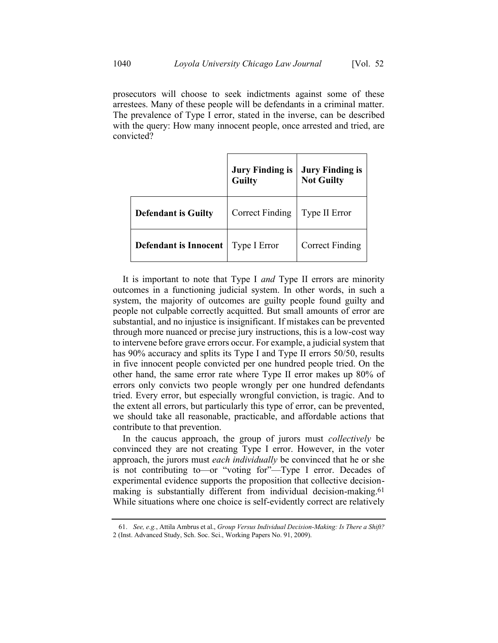prosecutors will choose to seek indictments against some of these arrestees. Many of these people will be defendants in a criminal matter. The prevalence of Type I error, stated in the inverse, can be described with the query: How many innocent people, once arrested and tried, are convicted?

|                              | <b>Jury Finding is<br/>Guilty</b> | <b>Jury Finding is</b><br><b>Not Guilty</b> |
|------------------------------|-----------------------------------|---------------------------------------------|
| <b>Defendant is Guilty</b>   | <b>Correct Finding</b>            | Type II Error                               |
| <b>Defendant is Innocent</b> | Type I Error                      | <b>Correct Finding</b>                      |

It is important to note that Type I *and* Type II errors are minority outcomes in a functioning judicial system. In other words, in such a system, the majority of outcomes are guilty people found guilty and people not culpable correctly acquitted. But small amounts of error are substantial, and no injustice is insignificant. If mistakes can be prevented through more nuanced or precise jury instructions, this is a low-cost way to intervene before grave errors occur. For example, a judicial system that has 90% accuracy and splits its Type I and Type II errors 50/50, results in five innocent people convicted per one hundred people tried. On the other hand, the same error rate where Type II error makes up 80% of errors only convicts two people wrongly per one hundred defendants tried. Every error, but especially wrongful conviction, is tragic. And to the extent all errors, but particularly this type of error, can be prevented, we should take all reasonable, practicable, and affordable actions that contribute to that prevention.

In the caucus approach, the group of jurors must *collectively* be convinced they are not creating Type I error. However, in the voter approach, the jurors must *each individually* be convinced that he or she is not contributing to—or "voting for"—Type I error. Decades of experimental evidence supports the proposition that collective decisionmaking is substantially different from individual decision-making.61 While situations where one choice is self-evidently correct are relatively

<sup>61.</sup> *See, e.g.*, Attila Ambrus et al., *Group Versus Individual Decision-Making: Is There a Shift?* 2 (Inst. Advanced Study, Sch. Soc. Sci., Working Papers No. 91, 2009).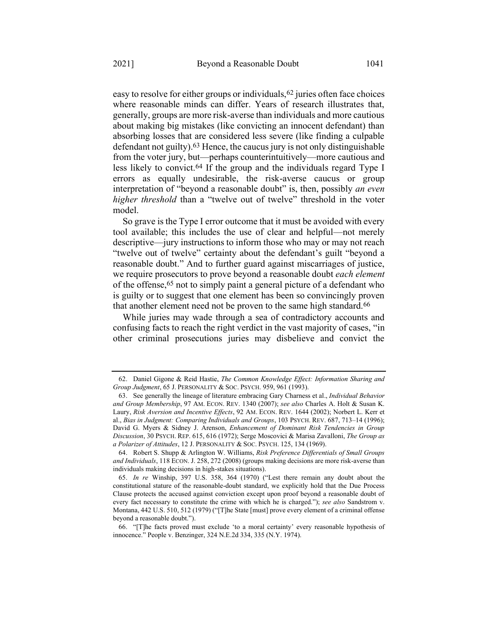easy to resolve for either groups or individuals, <sup>62</sup> juries often face choices where reasonable minds can differ. Years of research illustrates that, generally, groups are more risk-averse than individuals and more cautious about making big mistakes (like convicting an innocent defendant) than absorbing losses that are considered less severe (like finding a culpable defendant not guilty).63 Hence, the caucus jury is not only distinguishable from the voter jury, but—perhaps counterintuitively—more cautious and less likely to convict.64 If the group and the individuals regard Type I errors as equally undesirable, the risk-averse caucus or group interpretation of "beyond a reasonable doubt" is, then, possibly *an even* 

So grave is the Type I error outcome that it must be avoided with every tool available; this includes the use of clear and helpful—not merely descriptive—jury instructions to inform those who may or may not reach "twelve out of twelve" certainty about the defendant's guilt "beyond a reasonable doubt." And to further guard against miscarriages of justice, we require prosecutors to prove beyond a reasonable doubt *each element* of the offense,65 not to simply paint a general picture of a defendant who is guilty or to suggest that one element has been so convincingly proven that another element need not be proven to the same high standard.66

*higher threshold* than a "twelve out of twelve" threshold in the voter

While juries may wade through a sea of contradictory accounts and confusing facts to reach the right verdict in the vast majority of cases, "in other criminal prosecutions juries may disbelieve and convict the

model.

<sup>62.</sup> Daniel Gigone & Reid Hastie, *The Common Knowledge Effect: Information Sharing and Group Judgment*, 65 J. PERSONALITY & SOC. PSYCH. 959, 961 (1993).

<sup>63.</sup> See generally the lineage of literature embracing Gary Charness et al., *Individual Behavior and Group Membership*, 97 AM. ECON. REV. 1340 (2007); *see also* Charles A. Holt & Susan K. Laury, *Risk Aversion and Incentive Effects*, 92 AM. ECON. REV. 1644 (2002); Norbert L. Kerr et al., *Bias in Judgment: Comparing Individuals and Groups*, 103 PSYCH. REV. 687, 713–14 (1996); David G. Myers & Sidney J. Arenson, *Enhancement of Dominant Risk Tendencies in Group Discussion*, 30 PSYCH. REP. 615, 616 (1972); Serge Moscovici & Marisa Zavalloni, *The Group as a Polarizer of Attitudes*, 12 J. PERSONALITY & SOC. PSYCH. 125, 134 (1969).

<sup>64.</sup> Robert S. Shupp & Arlington W. Williams, *Risk Preference Differentials of Small Groups and Individuals*, 118 ECON. J. 258, 272 (2008) (groups making decisions are more risk-averse than individuals making decisions in high-stakes situations).

<sup>65.</sup> *In re* Winship, 397 U.S. 358, 364 (1970) ("Lest there remain any doubt about the constitutional stature of the reasonable-doubt standard, we explicitly hold that the Due Process Clause protects the accused against conviction except upon proof beyond a reasonable doubt of every fact necessary to constitute the crime with which he is charged."); *see also* Sandstrom v. Montana, 442 U.S. 510, 512 (1979) ("[T]he State [must] prove every element of a criminal offense beyond a reasonable doubt.").

<sup>66.</sup> "[T]he facts proved must exclude 'to a moral certainty' every reasonable hypothesis of innocence." People v. Benzinger, 324 N.E.2d 334, 335 (N.Y. 1974).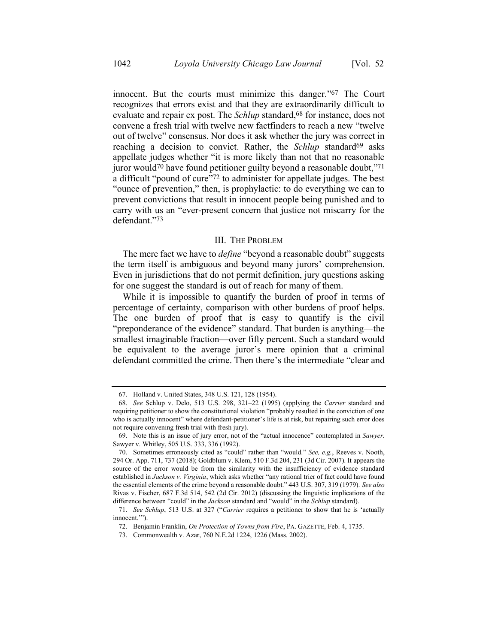innocent. But the courts must minimize this danger."67 The Court recognizes that errors exist and that they are extraordinarily difficult to evaluate and repair ex post. The *Schlup* standard,<sup>68</sup> for instance, does not convene a fresh trial with twelve new factfinders to reach a new "twelve out of twelve" consensus. Nor does it ask whether the jury was correct in reaching a decision to convict. Rather, the *Schlup* standard<sup>69</sup> asks appellate judges whether "it is more likely than not that no reasonable juror would70 have found petitioner guilty beyond a reasonable doubt,"71 a difficult "pound of cure"72 to administer for appellate judges. The best "ounce of prevention," then, is prophylactic: to do everything we can to prevent convictions that result in innocent people being punished and to carry with us an "ever-present concern that justice not miscarry for the defendant."73

### III. THE PROBLEM

The mere fact we have to *define* "beyond a reasonable doubt" suggests the term itself is ambiguous and beyond many jurors' comprehension. Even in jurisdictions that do not permit definition, jury questions asking for one suggest the standard is out of reach for many of them.

While it is impossible to quantify the burden of proof in terms of percentage of certainty, comparison with other burdens of proof helps. The one burden of proof that is easy to quantify is the civil "preponderance of the evidence" standard. That burden is anything—the smallest imaginable fraction—over fifty percent. Such a standard would be equivalent to the average juror's mere opinion that a criminal defendant committed the crime. Then there's the intermediate "clear and

<sup>67.</sup> Holland v. United States, 348 U.S. 121, 128 (1954).

<sup>68.</sup> *See* Schlup v. Delo, 513 U.S. 298, 321–22 (1995) (applying the *Carrier* standard and requiring petitioner to show the constitutional violation "probably resulted in the conviction of one who is actually innocent" where defendant-petitioner's life is at risk, but repairing such error does not require convening fresh trial with fresh jury).

<sup>69.</sup> Note this is an issue of jury error, not of the "actual innocence" contemplated in *Sawyer*. Sawyer v. Whitley, 505 U.S. 333, 336 (1992).

<sup>70.</sup> Sometimes erroneously cited as "could" rather than "would." *See, e.g.*, Reeves v. Nooth, 294 Or. App. 711, 737 (2018); Goldblum v. Klem, 510 F.3d 204, 231 (3d Cir. 2007). It appears the source of the error would be from the similarity with the insufficiency of evidence standard established in *Jackson v. Virginia*, which asks whether "any rational trier of fact could have found the essential elements of the crime beyond a reasonable doubt." 443 U.S. 307, 319 (1979). *See also*  Rivas v. Fischer, 687 F.3d 514, 542 (2d Cir. 2012) (discussing the linguistic implications of the difference between "could" in the *Jackson* standard and "would" in the *Schlup* standard).

<sup>71.</sup> *See Schlup*, 513 U.S. at 327 ("*Carrier* requires a petitioner to show that he is 'actually innocent.'").

<sup>72.</sup> Benjamin Franklin, *On Protection of Towns from Fire*, PA. GAZETTE, Feb. 4, 1735.

<sup>73.</sup> Commonwealth v. Azar, 760 N.E.2d 1224, 1226 (Mass. 2002).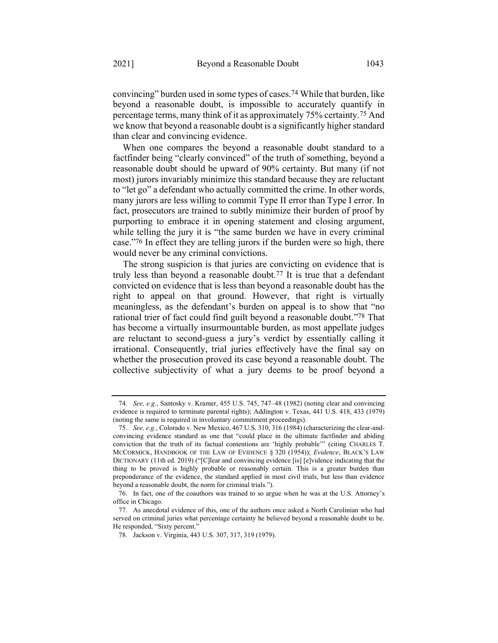convincing" burden used in some types of cases.74 While that burden, like beyond a reasonable doubt, is impossible to accurately quantify in percentage terms, many think of it as approximately 75% certainty.75 And we know that beyond a reasonable doubt is a significantly higher standard than clear and convincing evidence.

When one compares the beyond a reasonable doubt standard to a factfinder being "clearly convinced" of the truth of something, beyond a reasonable doubt should be upward of 90% certainty. But many (if not most) jurors invariably minimize this standard because they are reluctant to "let go" a defendant who actually committed the crime. In other words, many jurors are less willing to commit Type II error than Type I error. In fact, prosecutors are trained to subtly minimize their burden of proof by purporting to embrace it in opening statement and closing argument, while telling the jury it is "the same burden we have in every criminal case."76 In effect they are telling jurors if the burden were so high, there would never be any criminal convictions.

The strong suspicion is that juries are convicting on evidence that is truly less than beyond a reasonable doubt.77 It is true that a defendant convicted on evidence that is less than beyond a reasonable doubt has the right to appeal on that ground. However, that right is virtually meaningless, as the defendant's burden on appeal is to show that "no rational trier of fact could find guilt beyond a reasonable doubt."78 That has become a virtually insurmountable burden, as most appellate judges are reluctant to second-guess a jury's verdict by essentially calling it irrational. Consequently, trial juries effectively have the final say on whether the prosecution proved its case beyond a reasonable doubt. The collective subjectivity of what a jury deems to be proof beyond a

<sup>74.</sup> *See, e.g.*, Santosky v. Kramer, 455 U.S. 745, 747–48 (1982) (noting clear and convincing evidence is required to terminate parental rights); Addington v. Texas, 441 U.S. 418, 433 (1979) (noting the same is required in involuntary commitment proceedings).

<sup>75.</sup> *See, e.g.*, Colorado v. New Mexico, 467 U.S. 310, 316 (1984) (characterizing the clear-andconvincing evidence standard as one that "could place in the ultimate factfinder and abiding conviction that the truth of its factual contentions are 'highly probable'" (citing CHARLES T. MCCORMICK, HANDBOOK OF THE LAW OF EVIDENCE § 320 (1954)); *Evidence*, BLACK'S LAW DICTIONARY (11th ed. 2019) ("[C]lear and convincing evidence [is] [e]vidence indicating that the thing to be proved is highly probable or reasonably certain. This is a greater burden than preponderance of the evidence, the standard applied in most civil trials, but less than evidence beyond a reasonable doubt, the norm for criminal trials.").

<sup>76.</sup> In fact, one of the coauthors was trained to so argue when he was at the U.S. Attorney's office in Chicago.

<sup>77.</sup> As anecdotal evidence of this, one of the authors once asked a North Carolinian who had served on criminal juries what percentage certainty he believed beyond a reasonable doubt to be. He responded, "Sixty percent."

<sup>78.</sup> Jackson v. Virginia, 443 U.S. 307, 317, 319 (1979).